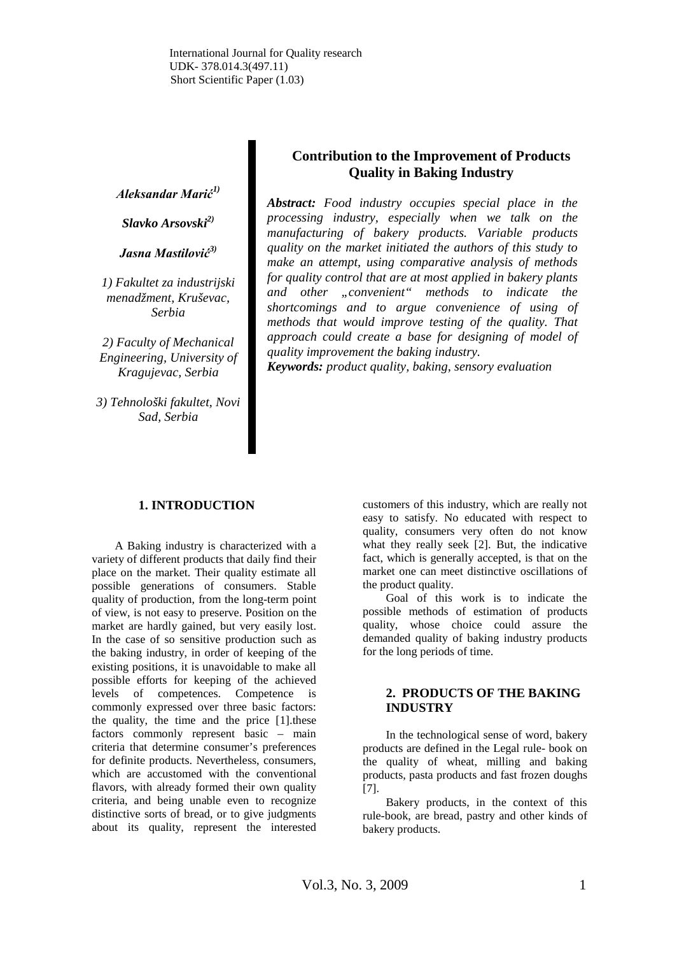International Journal for Quality research UDK- 378.014.3(497.11) Short Scientific Paper (1.03)

*Aleksandar Marić1)*

*Slavko Arsovski2)*

*Jasna Mastilović3)*

*1) Fakultet za industrijski menadžment, Kruševac, Serbia*

*2) Faculty of Mechanical Engineering, University of Kragujevac, Serbia*

*3) Tehnološki fakultet, Novi Sad, Serbia*

# **Contribution to the Improvement of Products Quality in Baking Industry**

*Abstract: Food industry occupies special place in the processing industry, especially when we talk on the manufacturing of bakery products. Variable products quality on the market initiated the authors of this study to make an attempt, using comparative analysis of methods for quality control that are at most applied in bakery plants and other "convenient" methods to indicate the shortcomings and to argue convenience of using of methods that would improve testing of the quality. That approach could create a base for designing of model of quality improvement the baking industry.*

*Keywords: product quality, baking, sensory evaluation*

#### **1. INTRODUCTION**

A Baking industry is characterized with a variety of different products that daily find their place on the market. Their quality estimate all possible generations of consumers. Stable quality of production, from the long-term point of view, is not easy to preserve. Position on the market are hardly gained, but very easily lost. In the case of so sensitive production such as the baking industry, in order of keeping of the existing positions, it is unavoidable to make all possible efforts for keeping of the achieved levels of competences. Competence is commonly expressed over three basic factors: the quality, the time and the price [1].these factors commonly represent basic – main criteria that determine consumer's preferences for definite products. Nevertheless, consumers, which are accustomed with the conventional flavors, with already formed their own quality criteria, and being unable even to recognize distinctive sorts of bread, or to give judgments about its quality, represent the interested

customers of this industry, which are really not easy to satisfy. No educated with respect to quality, consumers very often do not know what they really seek [2]. But, the indicative fact, which is generally accepted, is that on the market one can meet distinctive oscillations of the product quality.

Goal of this work is to indicate the possible methods of estimation of products quality, whose choice could assure the demanded quality of baking industry products for the long periods of time.

#### **2. PRODUCTS OF THE BAKING INDUSTRY**

In the technological sense of word, bakery products are defined in the Legal rule- book on the quality of wheat, milling and baking products, pasta products and fast frozen doughs [7].

Bakery products, in the context of this rule-book, are bread, pastry and other kinds of bakery products.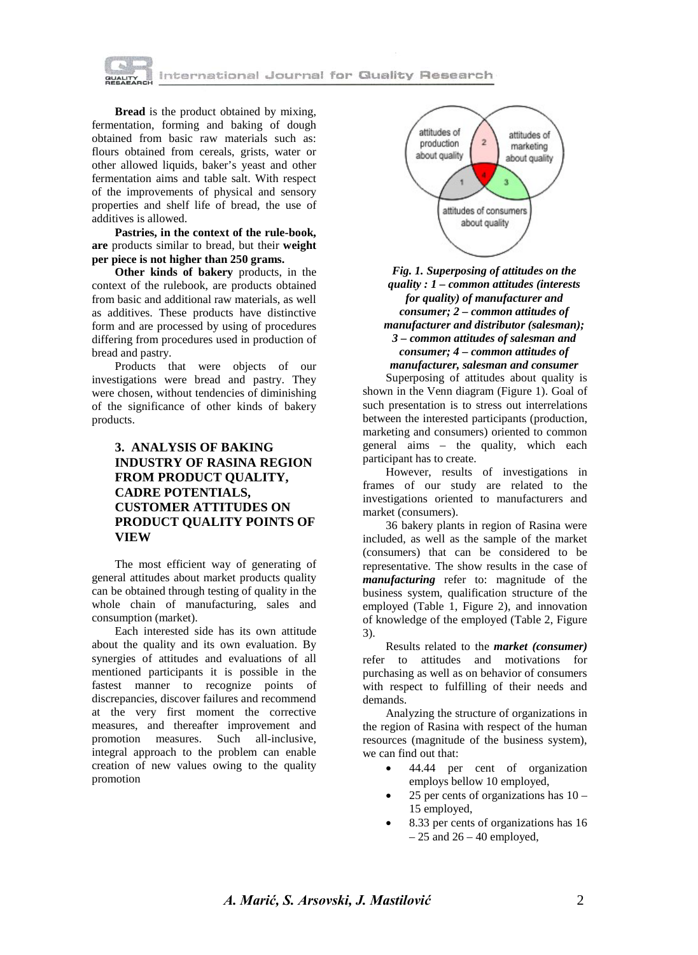

**Bread** is the product obtained by mixing, fermentation, forming and baking of dough obtained from basic raw materials such as: flours obtained from cereals, grists, water or other allowed liquids, baker's yeast and other fermentation aims and table salt. With respect of the improvements of physical and sensory properties and shelf life of bread, the use of additives is allowed.

**Pastries, in the context of the rule-book, are** products similar to bread, but their **weight per piece is not higher than 250 grams.**

**Other kinds of bakery** products, in the context of the rulebook, are products obtained from basic and additional raw materials, as well as additives. These products have distinctive form and are processed by using of procedures differing from procedures used in production of bread and pastry.

Products that were objects of our investigations were bread and pastry. They were chosen, without tendencies of diminishing of the significance of other kinds of bakery products.

# **3. ANALYSIS OF BAKING INDUSTRY OF RASINA REGION FROM PRODUCT QUALITY, CADRE POTENTIALS, CUSTOMER ATTITUDES ON PRODUCT QUALITY POINTS OF VIEW**

The most efficient way of generating of general attitudes about market products quality can be obtained through testing of quality in the whole chain of manufacturing, sales and consumption (market).

Each interested side has its own attitude about the quality and its own evaluation. By synergies of attitudes and evaluations of all mentioned participants it is possible in the fastest manner to recognize points of discrepancies, discover failures and recommend at the very first moment the corrective measures, and thereafter improvement and promotion measures. Such all-inclusive, integral approach to the problem can enable creation of new values owing to the quality promotion



#### *Fig. 1. Superposing of attitudes on the quality : 1 – common attitudes (interests for quality) of manufacturer and consumer; 2 – common attitudes of manufacturer and distributor (salesman); 3 – common attitudes of salesman and consumer; 4 – common attitudes of manufacturer, salesman and consumer*

Superposing of attitudes about quality is shown in the Venn diagram (Figure 1). Goal of such presentation is to stress out interrelations between the interested participants (production, marketing and consumers) oriented to common general aims – the quality, which each participant has to create.

However, results of investigations in frames of our study are related to the investigations oriented to manufacturers and market (consumers).

36 bakery plants in region of Rasina were included, as well as the sample of the market (consumers) that can be considered to be representative. The show results in the case of *manufacturing* refer to: magnitude of the business system, qualification structure of the employed (Table 1, Figure 2), and innovation of knowledge of the employed (Table 2, Figure 3).

Results related to the *market (consumer)*  refer to attitudes and motivations for purchasing as well as on behavior of consumers with respect to fulfilling of their needs and demands.

Analyzing the structure of organizations in the region of Rasina with respect of the human resources (magnitude of the business system), we can find out that:

- 44.44 per cent of organization employs bellow 10 employed,
- 25 per cents of organizations has  $10 -$ 15 employed,
- 8.33 per cents of organizations has 16  $-25$  and  $26 - 40$  employed,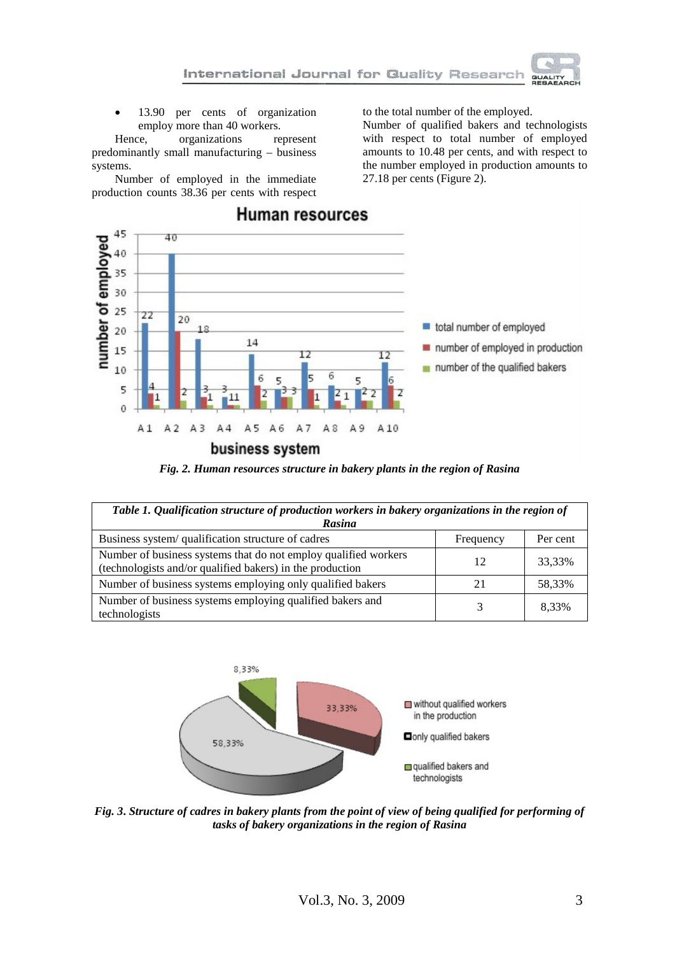

13.90 per cents of organization employ more than 40 workers.

Hence, organizations represent predominantly small manufacturing – business systems.

Number of employed in the immediate production counts 38.36 per cents with respect to the total number of the employed.

Number of qualified bakers and technologists with respect to total number of employed amounts to 10.48 per cents, and with respect to the number employed in production amounts to 27.18 per cents (Figure 2).



*Fig. 2. Human resources structure in bakery plants in the region of Rasina*

| Table 1. Qualification structure of production workers in bakery organizations in the region of<br>Rasina                    |           |          |  |  |  |  |
|------------------------------------------------------------------------------------------------------------------------------|-----------|----------|--|--|--|--|
| Business system/ qualification structure of cadres                                                                           | Frequency | Per cent |  |  |  |  |
| Number of business systems that do not employ qualified workers<br>(technologists and/or qualified bakers) in the production | 12        | 33,33%   |  |  |  |  |
| Number of business systems employing only qualified bakers                                                                   | 21        | 58,33%   |  |  |  |  |
| Number of business systems employing qualified bakers and<br>technologists                                                   |           | 8.33%    |  |  |  |  |



*Fig. 3***.** *Structure of cadres in bakery plants from the point of view of being qualified for performing of tasks of bakery organizations in the region of Rasina*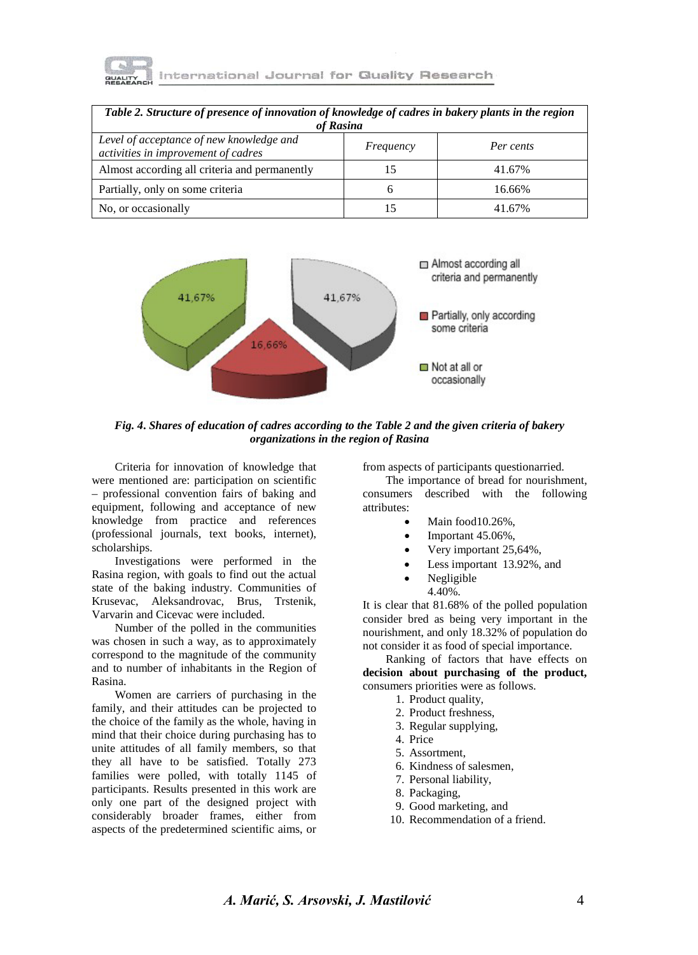

| Table 2. Structure of presence of innovation of knowledge of cadres in bakery plants in the region<br>of Rasina |           |           |  |  |  |  |
|-----------------------------------------------------------------------------------------------------------------|-----------|-----------|--|--|--|--|
| Level of acceptance of new knowledge and<br>activities in improvement of cadres                                 | Frequency | Per cents |  |  |  |  |
| Almost according all criteria and permanently                                                                   |           | 41.67%    |  |  |  |  |
| Partially, only on some criteria                                                                                |           | 16.66%    |  |  |  |  |
| No, or occasionally                                                                                             |           | 41.67%    |  |  |  |  |



*Fig. 4***.** *Shares of education of cadres according to the Table 2 and the given criteria of bakery organizations in the region of Rasina*

Criteria for innovation of knowledge that were mentioned are: participation on scientific – professional convention fairs of baking and equipment, following and acceptance of new knowledge from practice and references (professional journals, text books, internet), scholarships.

Investigations were performed in the Rasina region, with goals to find out the actual state of the baking industry. Communities of Krusevac, Aleksandrovac, Brus, Trstenik, Varvarin and Cicevac were included.

Number of the polled in the communities was chosen in such a way, as to approximately correspond to the magnitude of the community and to number of inhabitants in the Region of Rasina.

Women are carriers of purchasing in the family, and their attitudes can be projected to the choice of the family as the whole, having in mind that their choice during purchasing has to unite attitudes of all family members, so that they all have to be satisfied. Totally 273 families were polled, with totally 1145 of participants. Results presented in this work are only one part of the designed project with considerably broader frames, either from aspects of the predetermined scientific aims, or from aspects of participants questionarried.

The importance of bread for nourishment, consumers described with the following attributes:

- Main food10.26%,
- Important 45.06%,
- Very important 25,64%,
- Less important 13.92%, and
- Negligible 4.40%.

It is clear that 81.68% of the polled population consider bred as being very important in the nourishment, and only 18.32% of population do not consider it as food of special importance.

Ranking of factors that have effects on **decision about purchasing of the product,**  consumers priorities were as follows.

- 1. Product quality,
- 2. Product freshness,
- 3. Regular supplying,
- 4. Price
- 5. Assortment,
- 6. Kindness of salesmen,
- 7. Personal liability,
- 8. Packaging,
- 9. Good marketing, and
- 10. Recommendation of a friend.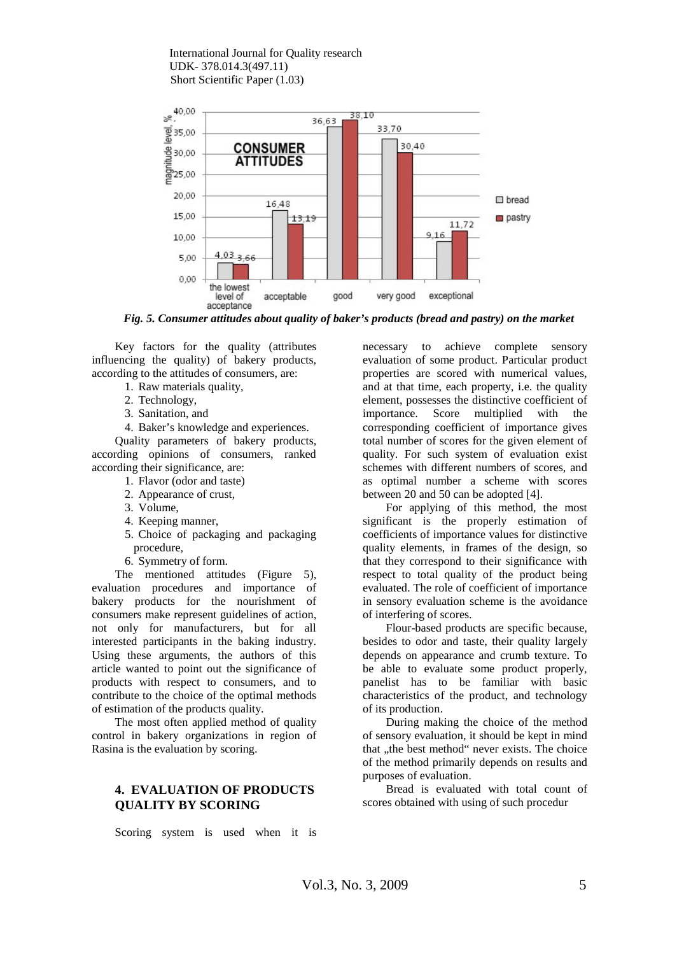International Journal for Quality research UDK- 378.014.3(497.11) Short Scientific Paper (1.03)



*Fig. 5. Consumer attitudes about quality of baker's products (bread and pastry) on the market*

Key factors for the quality (attributes influencing the quality) of bakery products, according to the attitudes of consumers, are:

- 1. Raw materials quality,
- 2. Technology,
- 3. Sanitation, and
- 4. Baker's knowledge and experiences.

Quality parameters of bakery products, according opinions of consumers, ranked according their significance, are:

- 1. Flavor (odor and taste)
- 2. Appearance of crust,
- 3. Volume,
- 4. Keeping manner,
- 5. Choice of packaging and packaging procedure,
- 6. Symmetry of form.

The mentioned attitudes (Figure 5), evaluation procedures and importance of bakery products for the nourishment of consumers make represent guidelines of action, not only for manufacturers, but for all interested participants in the baking industry. Using these arguments, the authors of this article wanted to point out the significance of products with respect to consumers, and to contribute to the choice of the optimal methods of estimation of the products quality.

The most often applied method of quality control in bakery organizations in region of Rasina is the evaluation by scoring.

# **4. EVALUATION OF PRODUCTS QUALITY BY SCORING**

Scoring system is used when it is

necessary to achieve complete sensory evaluation of some product. Particular product properties are scored with numerical values, and at that time, each property, i.e. the quality element, possesses the distinctive coefficient of importance. Score multiplied with the corresponding coefficient of importance gives total number of scores for the given element of quality. For such system of evaluation exist schemes with different numbers of scores, and as optimal number a scheme with scores between 20 and 50 can be adopted [4].

For applying of this method, the most significant is the properly estimation of coefficients of importance values for distinctive quality elements, in frames of the design, so that they correspond to their significance with respect to total quality of the product being evaluated. The role of coefficient of importance in sensory evaluation scheme is the avoidance of interfering of scores.

Flour-based products are specific because, besides to odor and taste, their quality largely depends on appearance and crumb texture. To be able to evaluate some product properly, panelist has to be familiar with basic characteristics of the product, and technology of its production.

During making the choice of the method of sensory evaluation, it should be kept in mind that "the best method" never exists. The choice of the method primarily depends on results and purposes of evaluation.

Bread is evaluated with total count of scores obtained with using of such procedur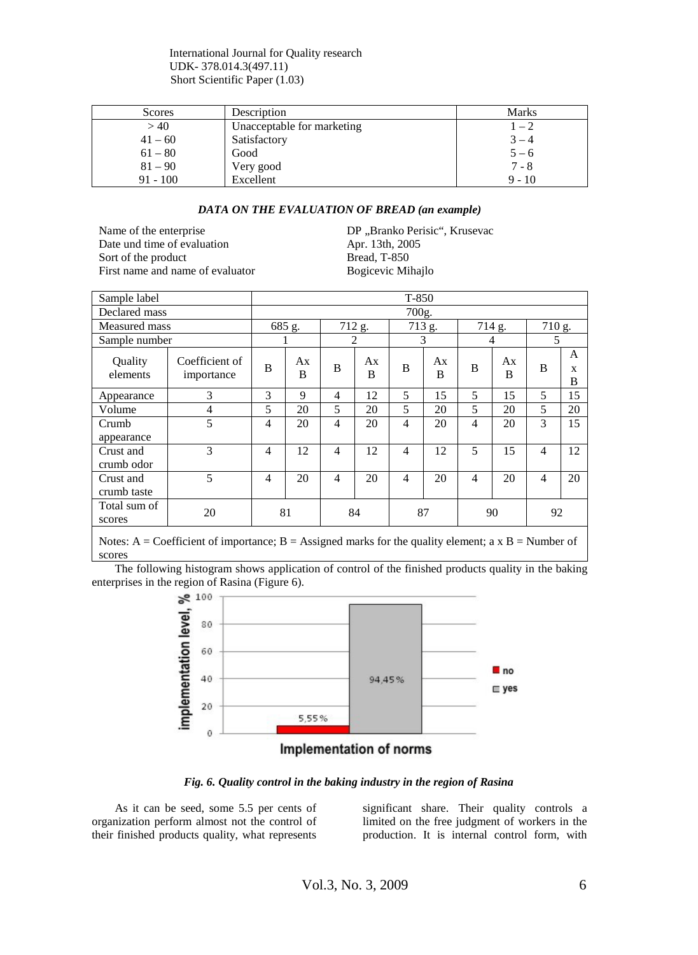International Journal for Quality research UDK- 378.014.3(497.11) Short Scientific Paper (1.03)

| Scores     | Description                | Marks    |
|------------|----------------------------|----------|
| >40        | Unacceptable for marketing | $1 - 2$  |
| $41 - 60$  | Satisfactory               | $3 - 4$  |
| $61 - 80$  | Good                       | $5 - 6$  |
| $81 - 90$  | Very good                  | $7 - 8$  |
| $91 - 100$ | Excellent                  | $9 - 10$ |

#### *DATA ON THE EVALUATION OF BREAD (an example)*

Date und time of evaluation Sort of the product<br>
First name and name of evaluator<br>
Bogicevic Mihajlo First name and name of evaluator

Name of the enterprise DP ,,Branko Perisic", Krusevac<br>Date und time of evaluation Apr. 13th, 2005

| Sample label             |                              | $T-850$        |         |                |         |                |         |                |         |                |             |
|--------------------------|------------------------------|----------------|---------|----------------|---------|----------------|---------|----------------|---------|----------------|-------------|
| Declared mass            |                              | 700g.          |         |                |         |                |         |                |         |                |             |
| Measured mass            |                              | 685 g.         |         | 712 g.         |         | 713 g.         |         | 714 g.         |         | 710 g.         |             |
| Sample number            |                              |                |         | 2              |         | 3              |         | 4              |         | .5             |             |
| Quality<br>elements      | Coefficient of<br>importance | B              | Ax<br>B | B              | Ax<br>B | B              | Ax<br>B | B              | Ax<br>B | B              | A<br>X<br>B |
| Appearance               | 3                            | 3              | 9       | $\overline{4}$ | 12      | 5              | 15      | 5              | 15      | 5              | 15          |
| Volume                   | 4                            | 5              | 20      | 5              | 20      | 5              | 20      | 5              | 20      | 5              | 20          |
| Crumb<br>appearance      | 5                            | $\overline{4}$ | 20      | $\overline{4}$ | 20      | $\overline{4}$ | 20      | $\overline{4}$ | 20      | 3              | 15          |
| Crust and<br>crumb odor  | 3                            | $\overline{4}$ | 12      | $\overline{4}$ | 12      | $\overline{4}$ | 12      | 5              | 15      | $\overline{4}$ | 12          |
| Crust and<br>crumb taste | $\overline{5}$               | $\overline{4}$ | 20      | $\overline{4}$ | 20      | $\overline{4}$ | 20      | $\overline{4}$ | 20      | 4              | 20          |
| Total sum of<br>scores   | 20                           |                | 81      |                | 84      | 87             |         |                | 90      | 92             |             |

Notes: A = Coefficient of importance; B = Assigned marks for the quality element; a  $x B =$  Number of scores

The following histogram shows application of control of the finished products quality in the baking enterprises in the region of Rasina (Figure 6).<br>  $\geq 100$ 



### Implementation of norms

*Fig. 6. Quality control in the baking industry in the region of Rasina*

As it can be seed, some 5.5 per cents of organization perform almost not the control of their finished products quality, what represents significant share. Their quality controls a limited on the free judgment of workers in the production. It is internal control form, with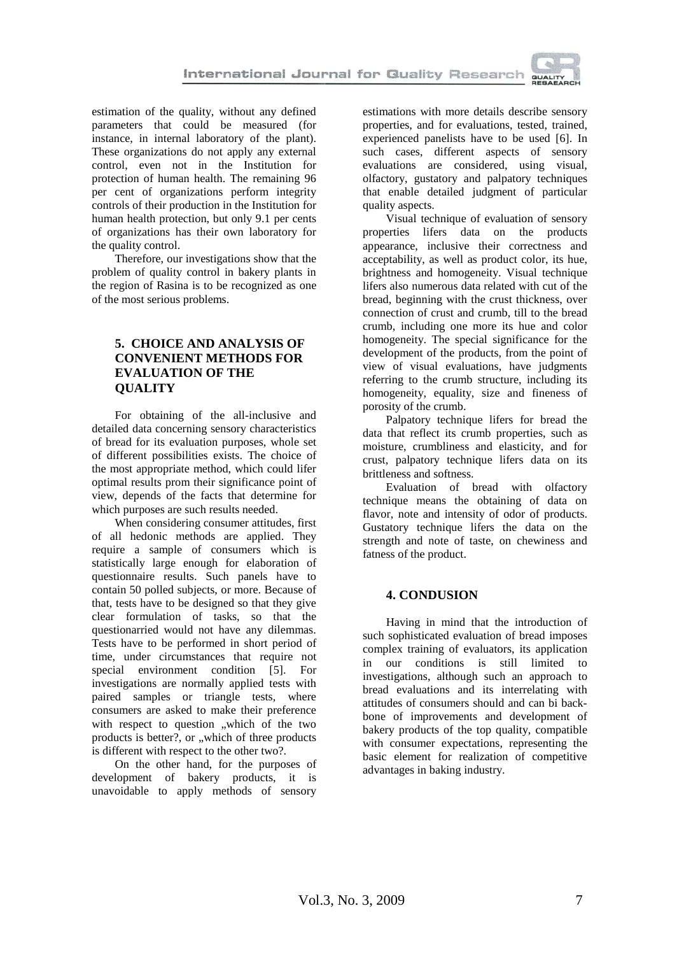

estimation of the quality, without any defined parameters that could be measured (for instance, in internal laboratory of the plant). These organizations do not apply any external control, even not in the Institution for protection of human health. The remaining 96 per cent of organizations perform integrity controls of their production in the Institution for human health protection, but only 9.1 per cents of organizations has their own laboratory for the quality control.

Therefore, our investigations show that the problem of quality control in bakery plants in the region of Rasina is to be recognized as one of the most serious problems.

# **5. CHOICE AND ANALYSIS OF CONVENIENT METHODS FOR EVALUATION OF THE QUALITY**

For obtaining of the all-inclusive and detailed data concerning sensory characteristics of bread for its evaluation purposes, whole set of different possibilities exists. The choice of the most appropriate method, which could lifer optimal results prom their significance point of view, depends of the facts that determine for which purposes are such results needed.

When considering consumer attitudes, first of all hedonic methods are applied. They require a sample of consumers which is statistically large enough for elaboration of questionnaire results. Such panels have to contain 50 polled subjects, or more. Because of that, tests have to be designed so that they give clear formulation of tasks, so that the questionarried would not have any dilemmas. Tests have to be performed in short period of time, under circumstances that require not special environment condition [5]. For investigations are normally applied tests with paired samples or triangle tests, where consumers are asked to make their preference with respect to question "which of the two products is better?, or "which of three products is different with respect to the other two?.

On the other hand, for the purposes of development of bakery products, it is unavoidable to apply methods of sensory estimations with more details describe sensory properties, and for evaluations, tested, trained, experienced panelists have to be used [6]. In such cases, different aspects of sensory evaluations are considered, using visual, olfactory, gustatory and palpatory techniques that enable detailed judgment of particular quality aspects.

Visual technique of evaluation of sensory properties lifers data on the products appearance, inclusive their correctness and acceptability, as well as product color, its hue, brightness and homogeneity. Visual technique lifers also numerous data related with cut of the bread, beginning with the crust thickness, over connection of crust and crumb, till to the bread crumb, including one more its hue and color homogeneity. The special significance for the development of the products, from the point of view of visual evaluations, have judgments referring to the crumb structure, including its homogeneity, equality, size and fineness of porosity of the crumb.

Palpatory technique lifers for bread the data that reflect its crumb properties, such as moisture, crumbliness and elasticity, and for crust, palpatory technique lifers data on its brittleness and softness.

Evaluation of bread with olfactory technique means the obtaining of data on flavor, note and intensity of odor of products. Gustatory technique lifers the data on the strength and note of taste, on chewiness and fatness of the product.

## **4. CONDUSION**

Having in mind that the introduction of such sophisticated evaluation of bread imposes complex training of evaluators, its application in our conditions is still limited to investigations, although such an approach to bread evaluations and its interrelating with attitudes of consumers should and can bi backbone of improvements and development of bakery products of the top quality, compatible with consumer expectations, representing the basic element for realization of competitive advantages in baking industry.